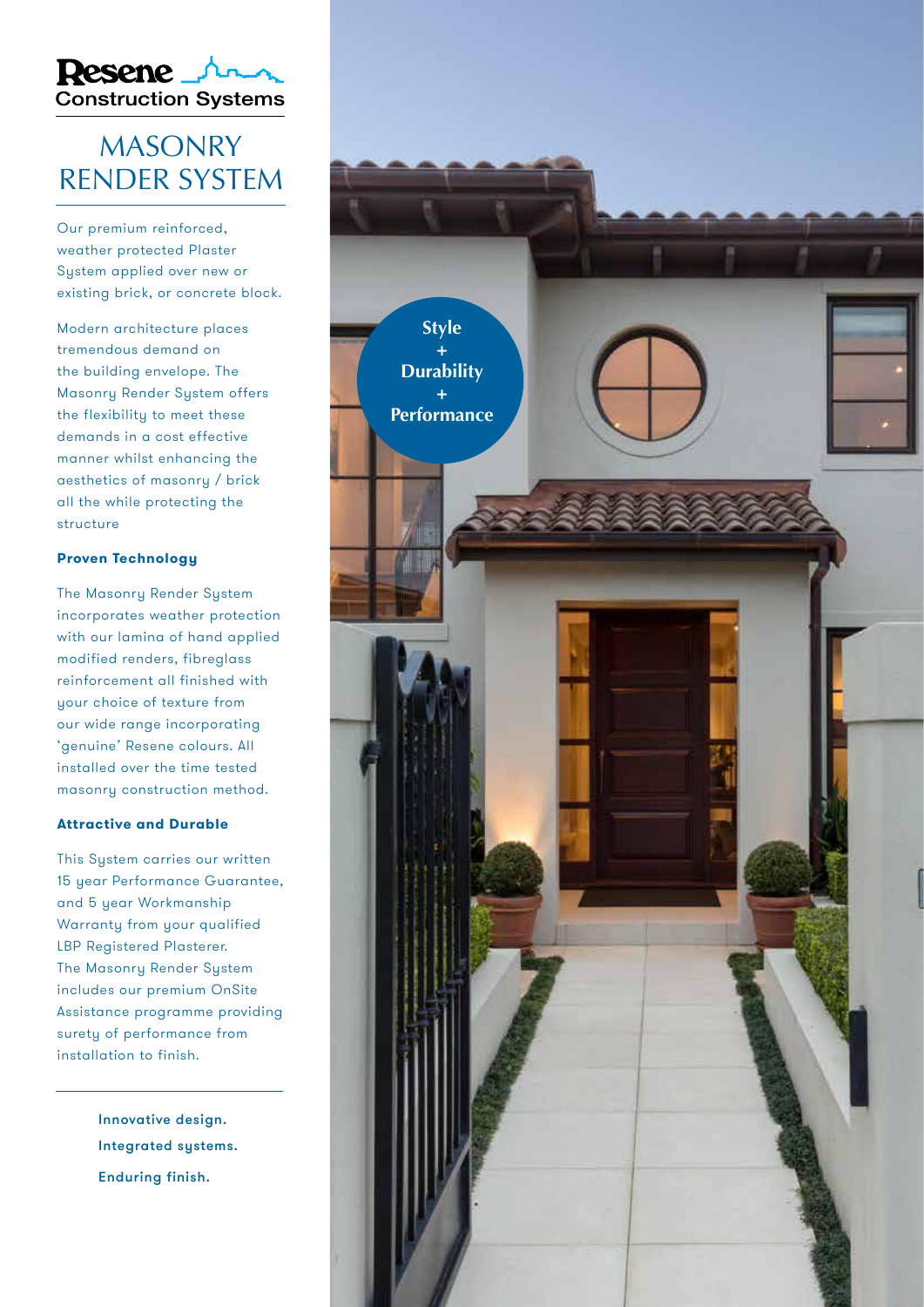

### MASONRY RENDER SYSTEM

Our premium reinforced, weather protected Plaster System applied over new or existing brick, or concrete block.

Modern architecture places tremendous demand on the building envelope. The Masonry Render System offers the flexibility to meet these demands in a cost effective manner whilst enhancing the aesthetics of masonry / brick all the while protecting the structure

### **Proven Technology**

The Masonry Render System incorporates weather protection with our lamina of hand applied modified renders, fibreglass reinforcement all finished with your choice of texture from our wide range incorporating 'genuine' Resene colours. All installed over the time tested masonry construction method.

#### **Attractive and Durable**

This Sustem carries our written 15 year Performance Guarantee, and 5 year Workmanship Warranty from your qualified LBP Registered Plasterer. The Masonry Render System includes our premium OnSite Assistance programme providing surety of performance from installation to finish.

> Innovative design. Integrated systems. Enduring finish.